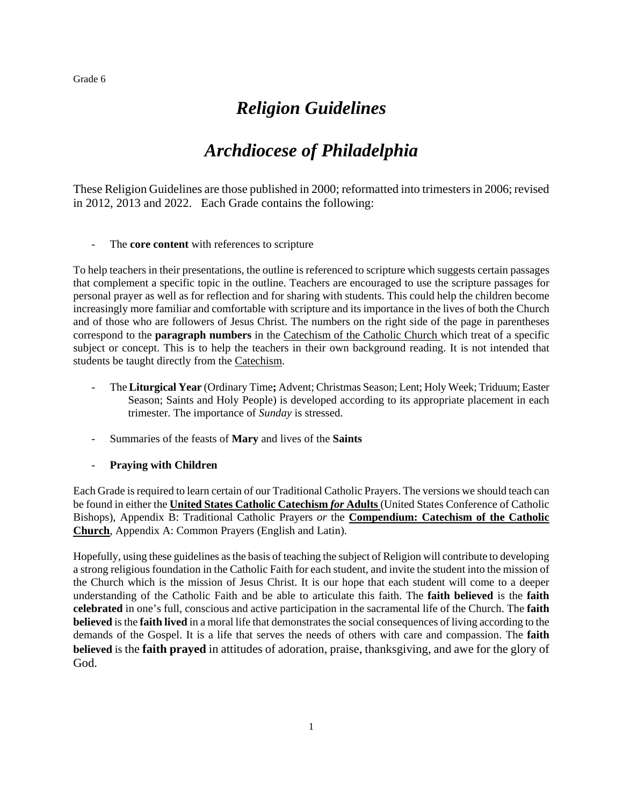## *Religion Guidelines*

## *Archdiocese of Philadelphia*

These Religion Guidelines are those published in 2000; reformatted into trimesters in 2006; revised in 2012, 2013 and 2022. Each Grade contains the following:

- The **core content** with references to scripture

To help teachers in their presentations, the outline is referenced to scripture which suggests certain passages that complement a specific topic in the outline. Teachers are encouraged to use the scripture passages for personal prayer as well as for reflection and for sharing with students. This could help the children become increasingly more familiar and comfortable with scripture and its importance in the lives of both the Church and of those who are followers of Jesus Christ. The numbers on the right side of the page in parentheses correspond to the **paragraph numbers** in the Catechism of the Catholic Church which treat of a specific subject or concept. This is to help the teachers in their own background reading. It is not intended that students be taught directly from the Catechism.

- The **Liturgical Year** (Ordinary Time**;** Advent; Christmas Season; Lent; Holy Week; Triduum; Easter Season; Saints and Holy People) is developed according to its appropriate placement in each trimester. The importance of *Sunday* is stressed.
- Summaries of the feasts of **Mary** and lives of the **Saints**
- **Praying with Children**

Each Grade is required to learn certain of our Traditional Catholic Prayers. The versions we should teach can be found in either the **United States Catholic Catechism** *for* **Adults** (United States Conference of Catholic Bishops), Appendix B: Traditional Catholic Prayers *or* the **Compendium: Catechism of the Catholic Church**, Appendix A: Common Prayers (English and Latin).

Hopefully, using these guidelines as the basis of teaching the subject of Religion will contribute to developing a strong religious foundation in the Catholic Faith for each student, and invite the student into the mission of the Church which is the mission of Jesus Christ. It is our hope that each student will come to a deeper understanding of the Catholic Faith and be able to articulate this faith. The **faith believed** is the **faith celebrated** in one's full, conscious and active participation in the sacramental life of the Church. The **faith believed** is the **faith lived** in a moral life that demonstrates the social consequences of living according to the demands of the Gospel. It is a life that serves the needs of others with care and compassion. The **faith believed** is the **faith prayed** in attitudes of adoration, praise, thanksgiving, and awe for the glory of God.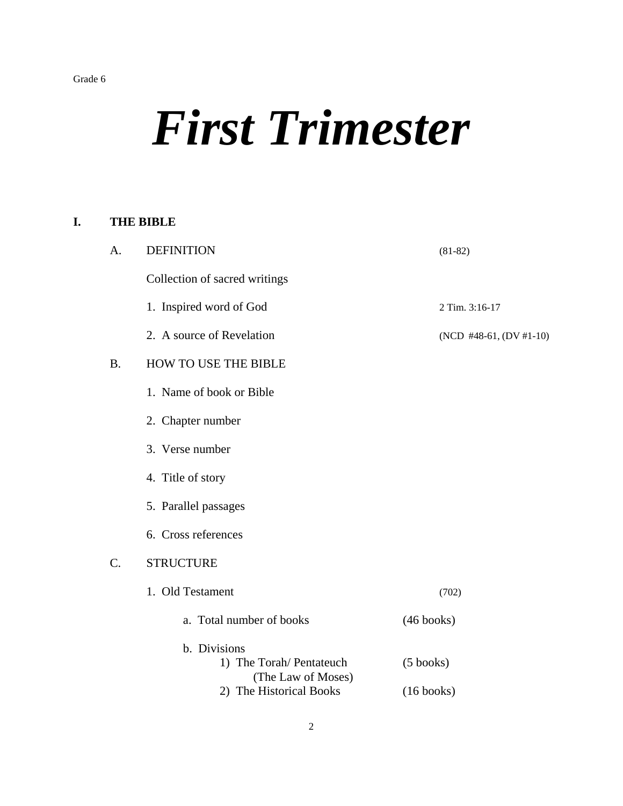## *First Trimester*

### **I. THE BIBLE**

| A.        | <b>DEFINITION</b>                                              | $(81-82)$                   |
|-----------|----------------------------------------------------------------|-----------------------------|
|           | Collection of sacred writings                                  |                             |
|           | 1. Inspired word of God                                        | 2 Tim. 3:16-17              |
|           | 2. A source of Revelation                                      | (NCD #48-61, $(DV #1-10)$ ) |
| <b>B.</b> | HOW TO USE THE BIBLE                                           |                             |
|           | 1. Name of book or Bible                                       |                             |
|           | 2. Chapter number                                              |                             |
|           | 3. Verse number                                                |                             |
|           | 4. Title of story                                              |                             |
|           | 5. Parallel passages                                           |                             |
|           | 6. Cross references                                            |                             |
| $C$ .     | <b>STRUCTURE</b>                                               |                             |
|           | 1. Old Testament                                               | (702)                       |
|           | a. Total number of books                                       | $(46 \text{ books})$        |
|           | b. Divisions<br>1) The Torah/ Pentateuch<br>(The Law of Moses) | $(5 \text{ books})$         |
|           | 2) The Historical Books                                        | $(16 \text{ books})$        |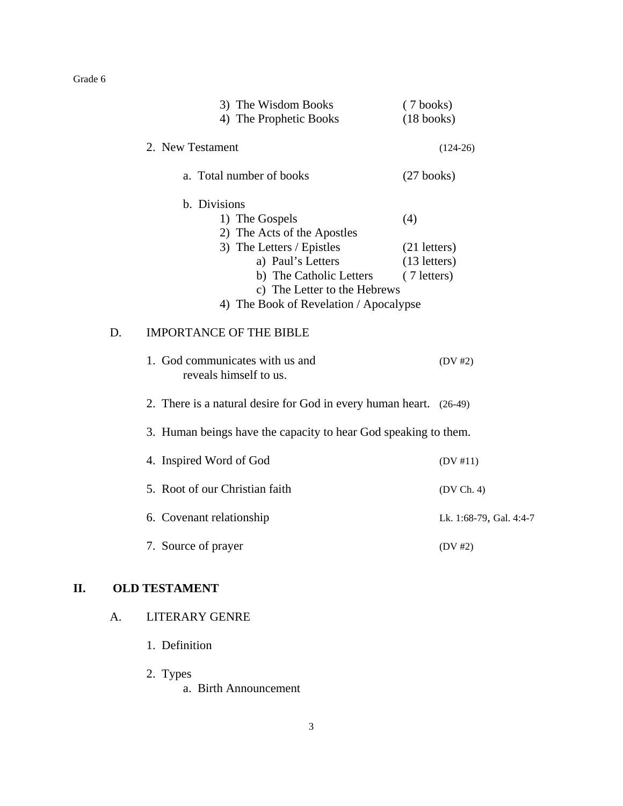|    | 3) The Wisdom Books                                                | $(7 \text{ books})$<br>$(18 \text{ books})$ |
|----|--------------------------------------------------------------------|---------------------------------------------|
|    | 4) The Prophetic Books                                             |                                             |
|    | 2. New Testament                                                   | $(124-26)$                                  |
|    | a. Total number of books                                           | $(27 \text{ books})$                        |
|    | b. Divisions                                                       |                                             |
|    | 1) The Gospels                                                     | (4)                                         |
|    | 2) The Acts of the Apostles                                        |                                             |
|    | 3) The Letters / Epistles                                          | $(21$ letters)                              |
|    | a) Paul's Letters                                                  | $(13$ letters)                              |
|    | b) The Catholic Letters                                            | (7 letters)                                 |
|    | c) The Letter to the Hebrews                                       |                                             |
|    | 4) The Book of Revelation / Apocalypse                             |                                             |
| D. | <b>IMPORTANCE OF THE BIBLE</b>                                     |                                             |
|    | 1. God communicates with us and<br>reveals himself to us.          | (DV#2)                                      |
|    | 2. There is a natural desire for God in every human heart. (26-49) |                                             |
|    | 3. Human beings have the capacity to hear God speaking to them.    |                                             |
|    | 4. Inspired Word of God                                            | (DV #11)                                    |
|    | 5. Root of our Christian faith                                     | (DV Ch. 4)                                  |
|    | 6. Covenant relationship                                           | Lk. 1:68-79, Gal. 4:4-7                     |
|    | 7. Source of prayer                                                | $(DV \#2)$                                  |

## **II. OLD TESTAMENT**

## A. LITERARY GENRE

- 1. Definition
- 2. Types
	- a. Birth Announcement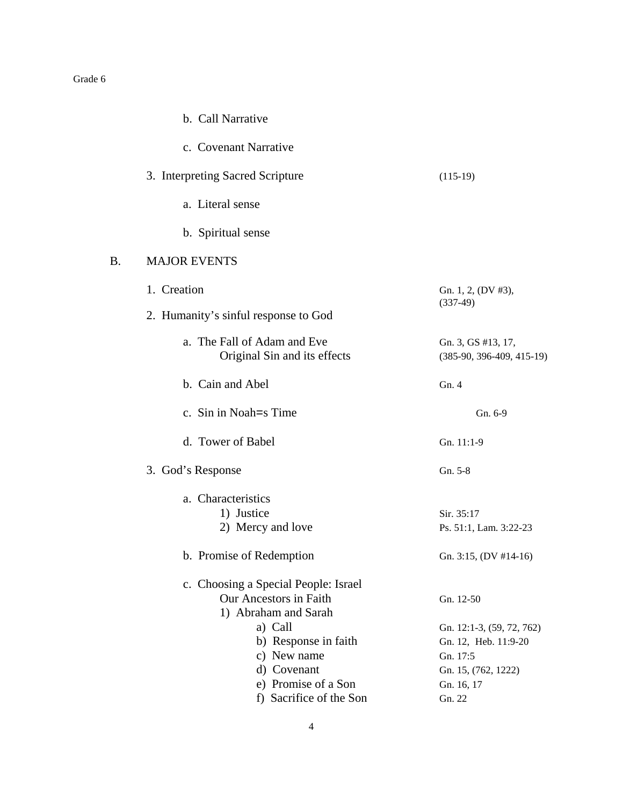|    | b. Call Narrative                                                                      |                                                                                      |
|----|----------------------------------------------------------------------------------------|--------------------------------------------------------------------------------------|
|    | c. Covenant Narrative                                                                  |                                                                                      |
|    | 3. Interpreting Sacred Scripture                                                       | $(115-19)$                                                                           |
|    | a. Literal sense                                                                       |                                                                                      |
|    | b. Spiritual sense                                                                     |                                                                                      |
| B. | <b>MAJOR EVENTS</b>                                                                    |                                                                                      |
|    | 1. Creation                                                                            | Gn. 1, 2, (DV #3),                                                                   |
|    | 2. Humanity's sinful response to God                                                   | $(337-49)$                                                                           |
|    | a. The Fall of Adam and Eve<br>Original Sin and its effects                            | Gn. 3, GS #13, 17,<br>$(385-90, 396-409, 415-19)$                                    |
|    | b. Cain and Abel                                                                       | Gn. 4                                                                                |
|    | c. Sin in Noah = S Time                                                                | Gn. 6-9                                                                              |
|    | d. Tower of Babel                                                                      | Gn. 11:1-9                                                                           |
|    | 3. God's Response                                                                      | Gn. 5-8                                                                              |
|    | a. Characteristics<br>1) Justice<br>2) Mercy and love                                  | Sir. 35:17<br>Ps. 51:1, Lam. 3:22-23                                                 |
|    | b. Promise of Redemption                                                               | Gn. 3:15, (DV #14-16)                                                                |
|    | c. Choosing a Special People: Israel<br>Our Ancestors in Faith<br>1) Abraham and Sarah | Gn. 12-50                                                                            |
|    | a) Call<br>b) Response in faith<br>c) New name<br>d) Covenant                          | Gn. 12:1-3, (59, 72, 762)<br>Gn. 12, Heb. 11:9-20<br>Gn. 17:5<br>Gn. 15, (762, 1222) |
|    | e) Promise of a Son<br>f) Sacrifice of the Son                                         | Gn. 16, 17<br>Gn. 22                                                                 |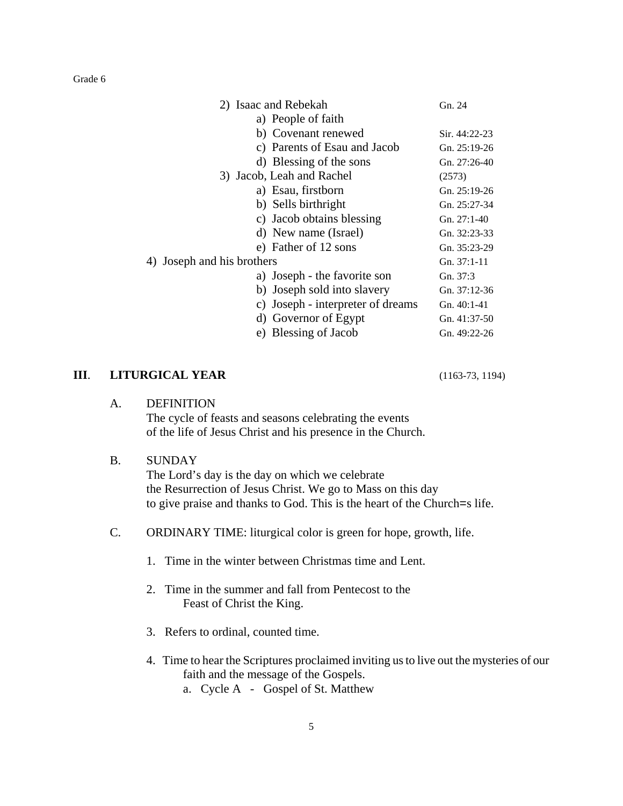| Gn. 24         |
|----------------|
|                |
| Sir. 44:22-23  |
| Gn. $25:19-26$ |
| Gn. 27:26-40   |
| (2573)         |
| Gn. $25:19-26$ |
| Gn. 25:27-34   |
| Gn. 27:1-40    |
| Gn. 32:23-33   |
| Gn. 35:23-29   |
| Gn. 37:1-11    |
| Gn. 37:3       |
| Gn. $37:12-36$ |
| $Gn. 40:1-41$  |
| Gn. $41:37-50$ |
| Gn. 49:22-26   |
|                |

#### **III**. **LITURGICAL YEAR** (1163-73, 1194)

#### A. DEFINITION

The cycle of feasts and seasons celebrating the events of the life of Jesus Christ and his presence in the Church.

#### B. SUNDAY

The Lord's day is the day on which we celebrate the Resurrection of Jesus Christ. We go to Mass on this day to give praise and thanks to God. This is the heart of the Church=s life.

- C. ORDINARY TIME: liturgical color is green for hope, growth, life.
	- 1. Time in the winter between Christmas time and Lent.
	- 2. Time in the summer and fall from Pentecost to the Feast of Christ the King.
	- 3. Refers to ordinal, counted time.
	- 4. Time to hear the Scriptures proclaimed inviting usto live out the mysteries of our faith and the message of the Gospels.
		- a. Cycle A Gospel of St. Matthew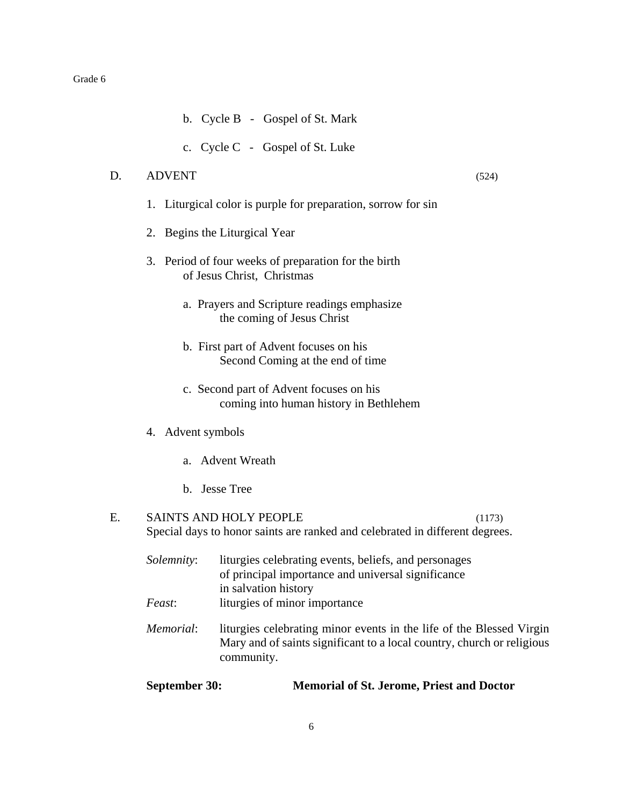- b. Cycle B Gospel of St. Mark
- c. Cycle C Gospel of St. Luke

#### D. ADVENT (524)

- 1. Liturgical color is purple for preparation, sorrow for sin
- 2. Begins the Liturgical Year
- 3. Period of four weeks of preparation for the birth of Jesus Christ, Christmas
	- a. Prayers and Scripture readings emphasize the coming of Jesus Christ
	- b. First part of Advent focuses on his Second Coming at the end of time
	- c. Second part of Advent focuses on his coming into human history in Bethlehem
- 4. Advent symbols
	- a. Advent Wreath
	- b. Jesse Tree

#### E. SAINTS AND HOLY PEOPLE (1173) Special days to honor saints are ranked and celebrated in different degrees.

| <i>Solemnity:</i> | liturgies celebrating events, beliefs, and personages<br>of principal importance and universal significance<br>in salvation history                          |
|-------------------|--------------------------------------------------------------------------------------------------------------------------------------------------------------|
| <i>Feast</i> :    | liturgies of minor importance                                                                                                                                |
| Memorial:         | liturgies celebrating minor events in the life of the Blessed Virgin<br>Mary and of saints significant to a local country, church or religious<br>community. |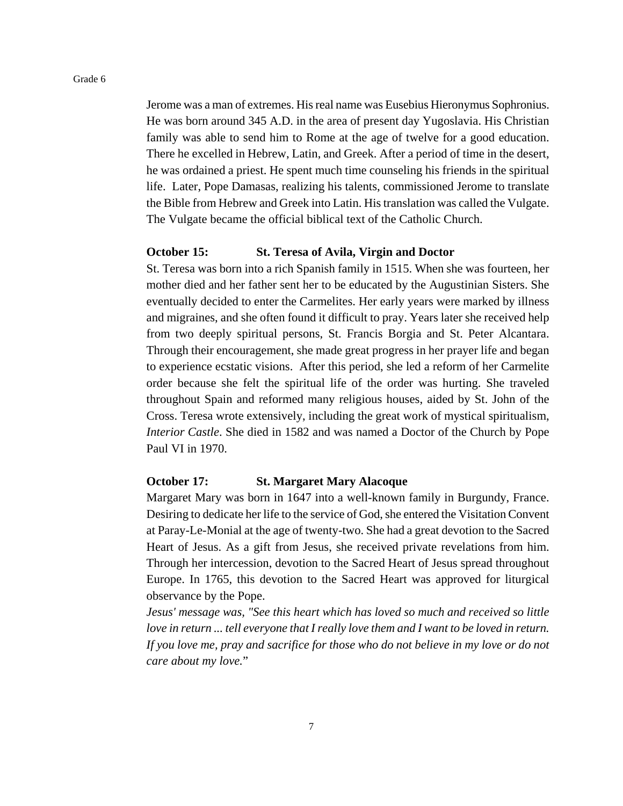Jerome was a man of extremes. His real name was Eusebius Hieronymus Sophronius. He was born around 345 A.D. in the area of present day Yugoslavia. His Christian family was able to send him to Rome at the age of twelve for a good education. There he excelled in Hebrew, Latin, and Greek. After a period of time in the desert, he was ordained a priest. He spent much time counseling his friends in the spiritual life. Later, Pope Damasas, realizing his talents, commissioned Jerome to translate the Bible from Hebrew and Greek into Latin. His translation was called the Vulgate. The Vulgate became the official biblical text of the Catholic Church.

#### **October 15: St. Teresa of Avila, Virgin and Doctor**

St. Teresa was born into a rich Spanish family in 1515. When she was fourteen, her mother died and her father sent her to be educated by the Augustinian Sisters. She eventually decided to enter the Carmelites. Her early years were marked by illness and migraines, and she often found it difficult to pray. Years later she received help from two deeply spiritual persons, St. Francis Borgia and St. Peter Alcantara. Through their encouragement, she made great progress in her prayer life and began to experience ecstatic visions. After this period, she led a reform of her Carmelite order because she felt the spiritual life of the order was hurting. She traveled throughout Spain and reformed many religious houses, aided by St. John of the Cross. Teresa wrote extensively, including the great work of mystical spiritualism, *Interior Castle*. She died in 1582 and was named a Doctor of the Church by Pope Paul VI in 1970.

#### **October 17: St. Margaret Mary Alacoque**

Margaret Mary was born in 1647 into a well-known family in Burgundy, France. Desiring to dedicate her life to the service of God, she entered the Visitation Convent at Paray-Le-Monial at the age of twenty-two. She had a great devotion to the Sacred Heart of Jesus. As a gift from Jesus, she received private revelations from him. Through her intercession, devotion to the Sacred Heart of Jesus spread throughout Europe. In 1765, this devotion to the Sacred Heart was approved for liturgical observance by the Pope.

*Jesus' message was, "See this heart which has loved so much and received so little love in return ... tell everyone that I really love them and I want to be loved in return. If you love me, pray and sacrifice for those who do not believe in my love or do not care about my love.*"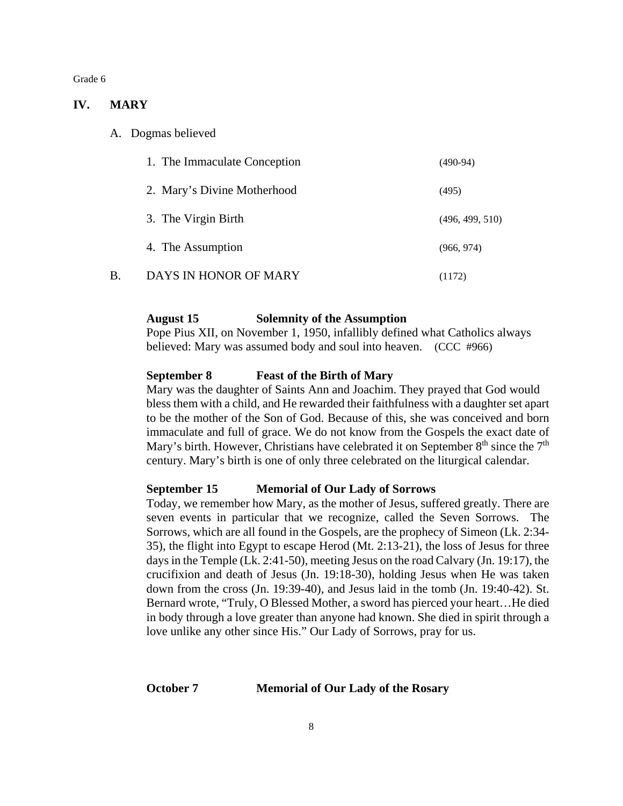#### **IV. MARY**

A. Dogmas believed

|    | 1. The Immaculate Conception | $(490-94)$      |
|----|------------------------------|-----------------|
|    | 2. Mary's Divine Motherhood  | (495)           |
|    | 3. The Virgin Birth          | (496, 499, 510) |
|    | 4. The Assumption            | (966, 974)      |
| B. | DAYS IN HONOR OF MARY        | (1172)          |

#### **August 15 Solemnity of the Assumption**

Pope Pius XII, on November 1, 1950, infallibly defined what Catholics always believed: Mary was assumed body and soul into heaven. (CCC #966)

#### **September 8 Feast of the Birth of Mary**

Mary was the daughter of Saints Ann and Joachim. They prayed that God would bless them with a child, and He rewarded their faithfulness with a daughter set apart to be the mother of the Son of God. Because of this, she was conceived and born immaculate and full of grace. We do not know from the Gospels the exact date of Mary's birth. However, Christians have celebrated it on September  $8<sup>th</sup>$  since the  $7<sup>th</sup>$ century. Mary's birth is one of only three celebrated on the liturgical calendar.

#### **September 15 Memorial of Our Lady of Sorrows**

Today, we remember how Mary, as the mother of Jesus, suffered greatly. There are seven events in particular that we recognize, called the Seven Sorrows. The Sorrows, which are all found in the Gospels, are the prophecy of Simeon (Lk. 2:34- 35), the flight into Egypt to escape Herod (Mt. 2:13-21), the loss of Jesus for three days in the Temple (Lk. 2:41-50), meeting Jesus on the road Calvary (Jn. 19:17), the crucifixion and death of Jesus (Jn. 19:18-30), holding Jesus when He was taken down from the cross (Jn. 19:39-40), and Jesus laid in the tomb (Jn. 19:40-42). St. Bernard wrote, "Truly, O Blessed Mother, a sword has pierced your heart... He died in body through a love greater than anyone had known. She died in spirit through a love unlike any other since His." Our Lady of Sorrows, pray for us.

#### **October 7 Memorial of Our Lady of the Rosary**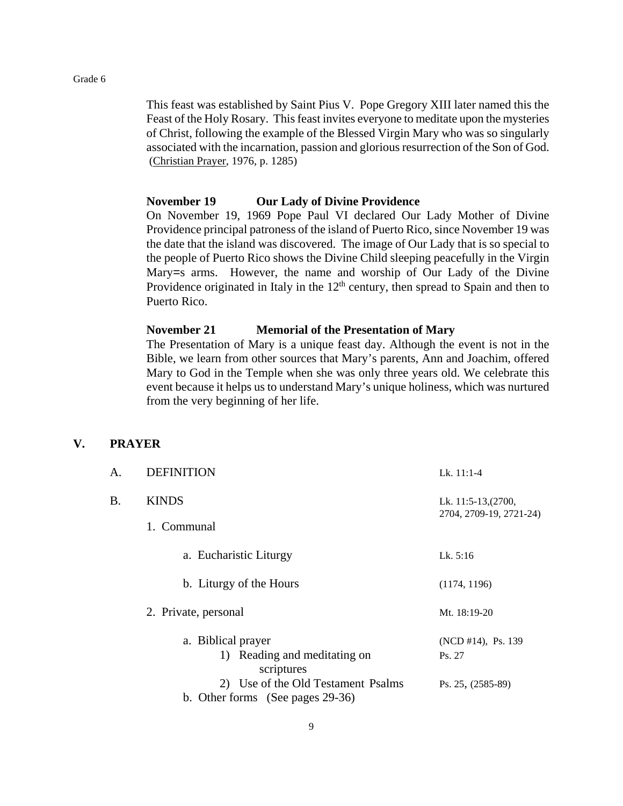This feast was established by Saint Pius V. Pope Gregory XIII later named this the Feast of the Holy Rosary. This feast invites everyone to meditate upon the mysteries of Christ, following the example of the Blessed Virgin Mary who was so singularly associated with the incarnation, passion and glorious resurrection of the Son of God. (Christian Prayer, 1976, p. 1285)

#### **November 19 Our Lady of Divine Providence**

On November 19, 1969 Pope Paul VI declared Our Lady Mother of Divine Providence principal patroness of the island of Puerto Rico, since November 19 was the date that the island was discovered. The image of Our Lady that is so special to the people of Puerto Rico shows the Divine Child sleeping peacefully in the Virgin Mary=s arms. However, the name and worship of Our Lady of the Divine Providence originated in Italy in the  $12<sup>th</sup>$  century, then spread to Spain and then to Puerto Rico.

#### **November 21 Memorial of the Presentation of Mary**

The Presentation of Mary is a unique feast day. Although the event is not in the Bible, we learn from other sources that Mary's parents, Ann and Joachim, offered Mary to God in the Temple when she was only three years old. We celebrate this event because it helps us to understand Mary's unique holiness, which was nurtured from the very beginning of her life.

#### **V. PRAYER**

| A. | <b>DEFINITION</b>                                                      | Lk. $11:1-4$                                   |
|----|------------------------------------------------------------------------|------------------------------------------------|
| В. | <b>KINDS</b>                                                           | Lk. 11:5-13, (2700,<br>2704, 2709-19, 2721-24) |
|    | 1. Communal                                                            |                                                |
|    | a. Eucharistic Liturgy                                                 | Lk. $5:16$                                     |
|    | b. Liturgy of the Hours                                                | (1174, 1196)                                   |
|    | 2. Private, personal                                                   | Mt. 18:19-20                                   |
|    | a. Biblical prayer<br>1) Reading and meditating on<br>scriptures       | (NCD #14), Ps. 139<br>Ps. 27                   |
|    | 2) Use of the Old Testament Psalms<br>b. Other forms (See pages 29-36) | Ps. 25, (2585-89)                              |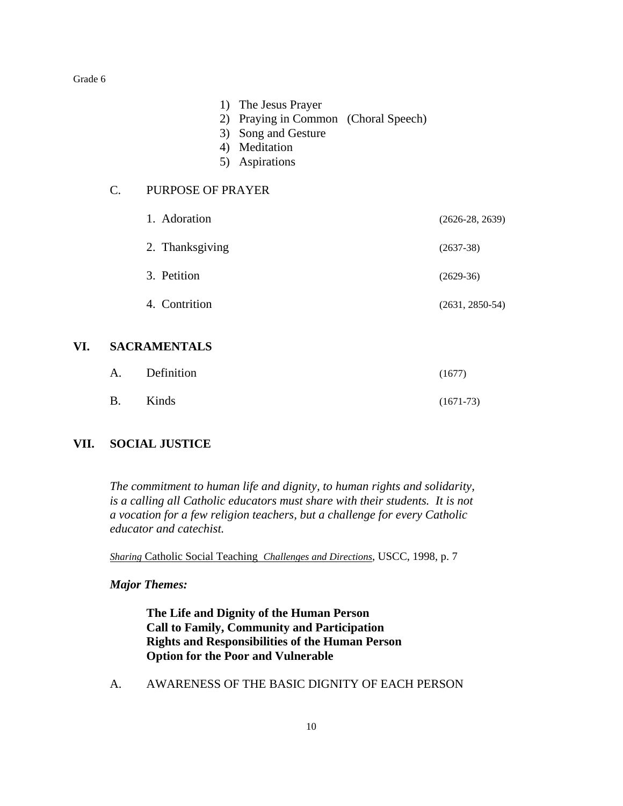- 1) The Jesus Prayer
- 2) Praying in Common (Choral Speech)
- 3) Song and Gesture
- 4) Meditation
- 5) Aspirations

#### C. PURPOSE OF PRAYER

| 1. Adoration    | $(2626-28, 2639)$ |
|-----------------|-------------------|
| 2. Thanksgiving | $(2637-38)$       |
| 3. Petition     | $(2629-36)$       |
| 4. Contrition   | $(2631, 2850-54)$ |

## **VI. SACRAMENTALS**

|           | A. Definition | (1677)      |
|-----------|---------------|-------------|
| <b>B.</b> | Kinds         | $(1671-73)$ |

#### **VII. SOCIAL JUSTICE**

*The commitment to human life and dignity, to human rights and solidarity, is a calling all Catholic educators must share with their students. It is not a vocation for a few religion teachers, but a challenge for every Catholic educator and catechist.*

*Sharing* Catholic Social Teaching *Challenges and Directions*, USCC, 1998, p. 7

#### *Major Themes:*

**The Life and Dignity of the Human Person Call to Family, Community and Participation Rights and Responsibilities of the Human Person Option for the Poor and Vulnerable**

A. AWARENESS OF THE BASIC DIGNITY OF EACH PERSON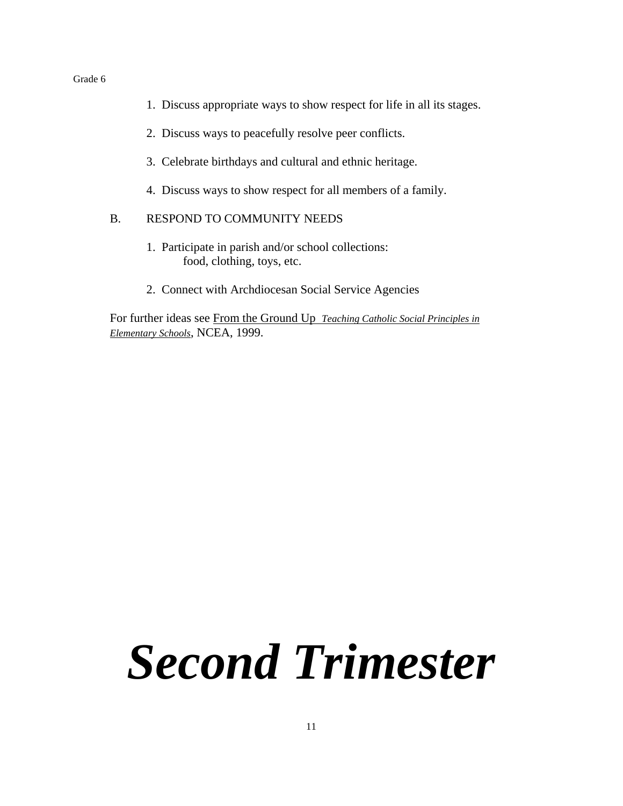- 1. Discuss appropriate ways to show respect for life in all its stages.
- 2. Discuss ways to peacefully resolve peer conflicts.
- 3. Celebrate birthdays and cultural and ethnic heritage.
- 4. Discuss ways to show respect for all members of a family.

#### B. RESPOND TO COMMUNITY NEEDS

- 1. Participate in parish and/or school collections: food, clothing, toys, etc.
- 2. Connect with Archdiocesan Social Service Agencies

For further ideas see From the Ground Up *Teaching Catholic Social Principles in Elementary Schools*, NCEA, 1999.

# *Second Trimester*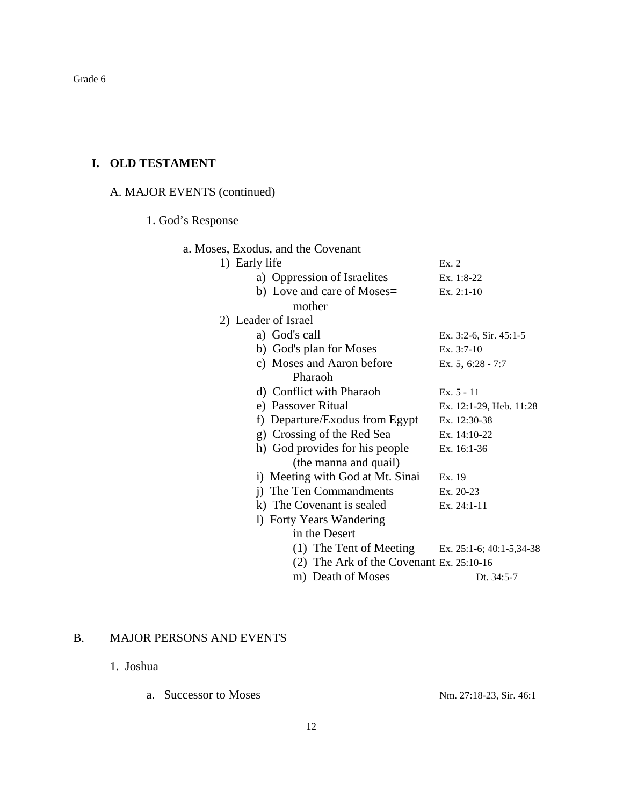## **I. OLD TESTAMENT**

## A. MAJOR EVENTS (continued)

## 1. God's Response

| a. Moses, Exodus, and the Covenant         |                             |
|--------------------------------------------|-----------------------------|
| 1) Early life                              | Ex.2                        |
| a) Oppression of Israelites                | Ex. $1:8-22$                |
| b) Love and care of Moses=                 | $Ex. 2:1-10$                |
| mother                                     |                             |
| 2) Leader of Israel                        |                             |
| a) God's call                              | Ex. $3:2-6$ , Sir. $45:1-5$ |
| b) God's plan for Moses                    | Ex. $3:7-10$                |
| c) Moses and Aaron before                  | Ex. $5, 6:28 - 7:7$         |
| Pharaoh                                    |                             |
| d) Conflict with Pharaoh                   | $Ex. 5 - 11$                |
| e) Passover Ritual                         | Ex. 12:1-29, Heb. 11:28     |
| Departure/Exodus from Egypt<br>f)          | Ex. 12:30-38                |
| g) Crossing of the Red Sea                 | Ex. 14:10-22                |
| h) God provides for his people             | Ex. 16:1-36                 |
| (the manna and quail)                      |                             |
| i) Meeting with God at Mt. Sinai           | Ex. 19                      |
| i) The Ten Commandments                    | $Ex. 20-23$                 |
| k) The Covenant is sealed                  | Ex. $24:1-11$               |
| 1) Forty Years Wandering                   |                             |
| in the Desert                              |                             |
| (1) The Tent of Meeting                    | Ex. 25:1-6; 40:1-5,34-38    |
| $(2)$ The Ark of the Covenant Ex. 25:10-16 |                             |
| m) Death of Moses                          | Dt. 34:5-7                  |

## B. MAJOR PERSONS AND EVENTS

- 1. Joshua
	- a. Successor to Moses  $Nm. 27:18-23, Sir. 46:1$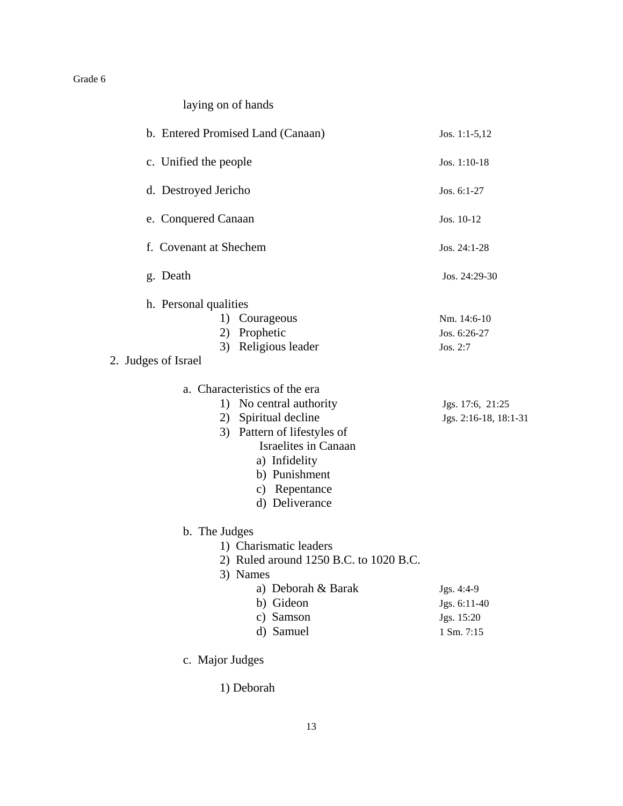laying on of hands

| b. Entered Promised Land (Canaan)                                                                                                                                                                                   | Jos. 1:1-5,12                                          |
|---------------------------------------------------------------------------------------------------------------------------------------------------------------------------------------------------------------------|--------------------------------------------------------|
| c. Unified the people                                                                                                                                                                                               | Jos. $1:10-18$                                         |
| d. Destroyed Jericho                                                                                                                                                                                                | Jos. 6:1-27                                            |
| e. Conquered Canaan                                                                                                                                                                                                 | Jos. 10-12                                             |
| f. Covenant at Shechem                                                                                                                                                                                              | Jos. 24:1-28                                           |
| g. Death                                                                                                                                                                                                            | Jos. 24:29-30                                          |
| h. Personal qualities<br>1) Courageous<br>2) Prophetic<br>3) Religious leader<br>2. Judges of Israel                                                                                                                | Nm. 14:6-10<br>Jos. 6:26-27<br>Jos. 2:7                |
|                                                                                                                                                                                                                     |                                                        |
| a. Characteristics of the era<br>1) No central authority<br>2) Spiritual decline<br>3) Pattern of lifestyles of<br><b>Israelites in Canaan</b><br>a) Infidelity<br>b) Punishment<br>c) Repentance<br>d) Deliverance | Jgs. 17:6, 21:25<br>Jgs. 2:16-18, 18:1-31              |
| b. The Judges                                                                                                                                                                                                       |                                                        |
| 1) Charismatic leaders<br>2) Ruled around 1250 B.C. to 1020 B.C.<br>3) Names                                                                                                                                        |                                                        |
| a) Deborah & Barak<br>b) Gideon<br>c) Samson<br>d) Samuel                                                                                                                                                           | Jgs. 4:4-9<br>Jgs. 6:11-40<br>Jgs. 15:20<br>1 Sm. 7:15 |
| c. Major Judges                                                                                                                                                                                                     |                                                        |

1) Deborah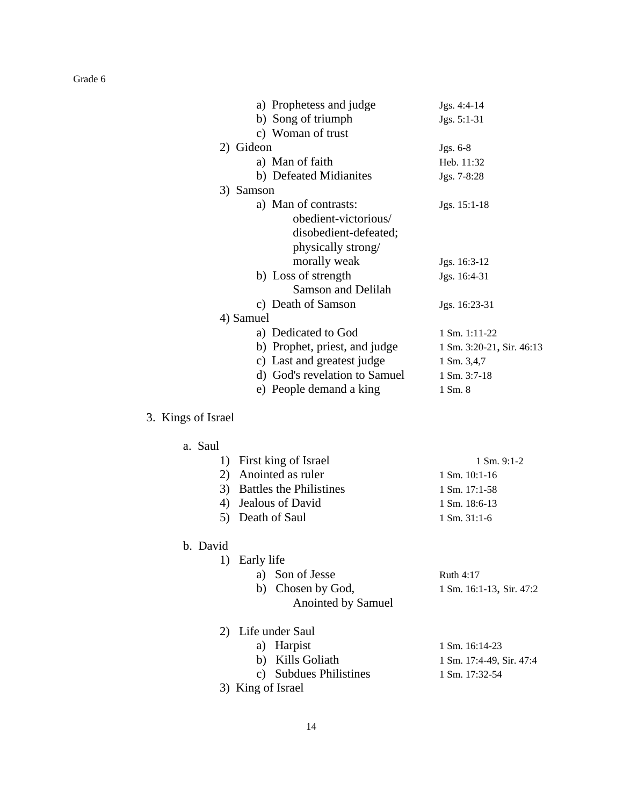| a) Prophetess and judge       | Jgs. 4:4-14               |
|-------------------------------|---------------------------|
| b) Song of triumph            | Jgs. 5:1-31               |
| c) Woman of trust             |                           |
| 2) Gideon                     | $Jgs. 6-8$                |
| a) Man of faith               | Heb. 11:32                |
| b) Defeated Midianites        | Jgs. 7-8:28               |
| 3) Samson                     |                           |
| a) Man of contrasts:          | Jgs. 15:1-18              |
| obedient-victorious/          |                           |
| disobedient-defeated;         |                           |
| physically strong/            |                           |
| morally weak                  | Jgs. 16:3-12              |
| b) Loss of strength           | Jgs. 16:4-31              |
| Samson and Delilah            |                           |
| c) Death of Samson            | Jgs. 16:23-31             |
| 4) Samuel                     |                           |
| a) Dedicated to God           | $1 \text{ Sm. } 1:11-22$  |
| b) Prophet, priest, and judge | 1 Sm. 3:20-21, Sir. 46:13 |
| c) Last and greatest judge    | 1 Sm. 3,4,7               |
| d) God's revelation to Samuel | 1 Sm. 3:7-18              |
| e) People demand a king       | 1 Sm. 8                   |
|                               |                           |

## 3. Kings of Israel

| ⊿ | Saul |
|---|------|
|---|------|

| 1) First king of Israel    | $1 \text{ Sm. } 9:1-2$   |
|----------------------------|--------------------------|
| 2) Anointed as ruler       | $1$ Sm. $10:1-16$        |
| 3) Battles the Philistines | $1 \text{ Sm.} 17:1-58$  |
| 4) Jealous of David        | $1 \text{ Sm. } 18:6-13$ |
| 5) Death of Saul           | $1 \text{ Sm. } 31:1-6$  |

## b. David

| 1) Early life      |                          |
|--------------------|--------------------------|
| a) Son of Jesse    | Ruth $4:17$              |
| b) Chosen by God,  | 1 Sm. 16:1-13, Sir. 47:2 |
| Anointed by Samuel |                          |
|                    |                          |

| 2) Life under Saul     |                           |
|------------------------|---------------------------|
| a) Harpist             | $1 \text{ Sm. } 16:14-23$ |
| b) Kills Goliath       | 1 Sm. 17:4-49, Sir. 47:4  |
| c) Subdues Philistines | $1 \text{ Sm. } 17:32-54$ |
| 3) King of Israel      |                           |

14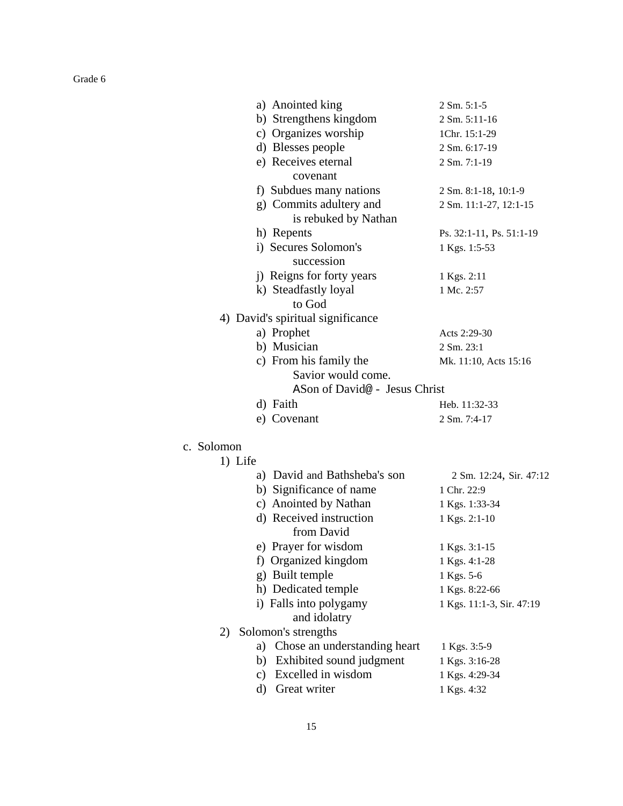| a) Anointed king                  | 2 Sm. 5:1-5              |
|-----------------------------------|--------------------------|
| b) Strengthens kingdom            | 2 Sm. 5:11-16            |
| c) Organizes worship              | 1Chr. 15:1-29            |
| d) Blesses people                 | 2 Sm. 6:17-19            |
| e) Receives eternal               | 2 Sm. 7:1-19             |
| covenant                          |                          |
| f) Subdues many nations           | 2 Sm. 8:1-18, 10:1-9     |
| g) Commits adultery and           | 2 Sm. 11:1-27, 12:1-15   |
| is rebuked by Nathan              |                          |
| h) Repents                        | Ps. 32:1-11, Ps. 51:1-19 |
| i) Secures Solomon's              | 1 Kgs. 1:5-53            |
| succession                        |                          |
| j) Reigns for forty years         | 1 Kgs. 2:11              |
| k) Steadfastly loyal              | 1 Mc. 2:57               |
| to God                            |                          |
| 4) David's spiritual significance |                          |
| a) Prophet                        | Acts 2:29-30             |
| b) Musician                       | 2 Sm. 23:1               |
| c) From his family the            | Mk. 11:10, Acts 15:16    |
| Savior would come.                |                          |
| ASon of David@ - Jesus Christ     |                          |
| d) Faith                          | Heb. 11:32-33            |
| e) Covenant                       | 2 Sm. 7:4-17             |
| c. Solomon                        |                          |
| 1) Life                           |                          |
| a) David and Bathsheba's son      | 2 Sm. 12:24, Sir. 47:12  |
| b) Significance of name           | 1 Chr. 22:9              |
| c) Anointed by Nathan             | 1 Kgs. 1:33-34           |
| d) Received instruction           |                          |
| from David                        | 1 Kgs. 2:1-10            |
| e) Prayer for wisdom              | 1 Kgs. 3:1-15            |
| f) Organized kingdom              | 1 Kgs. 4:1-28            |
| g) Built temple                   | 1 Kgs. 5-6               |
| h) Dedicated temple               | 1 Kgs. 8:22-66           |

| i) Falls into polygamy | 1 Kgs. 11:1-3, Sir. 47:19 |
|------------------------|---------------------------|
| and idolatry           |                           |

2) Solomon's strengths

| a) Chose an understanding heart | 1 Kgs. 3:5-9   |
|---------------------------------|----------------|
| b) Exhibited sound judgment     | 1 Kgs. 3:16-28 |
|                                 |                |

- c) Excelled in wisdom 1 Kgs. 4:29-34
- d) Great writer 1 Kgs. 4:32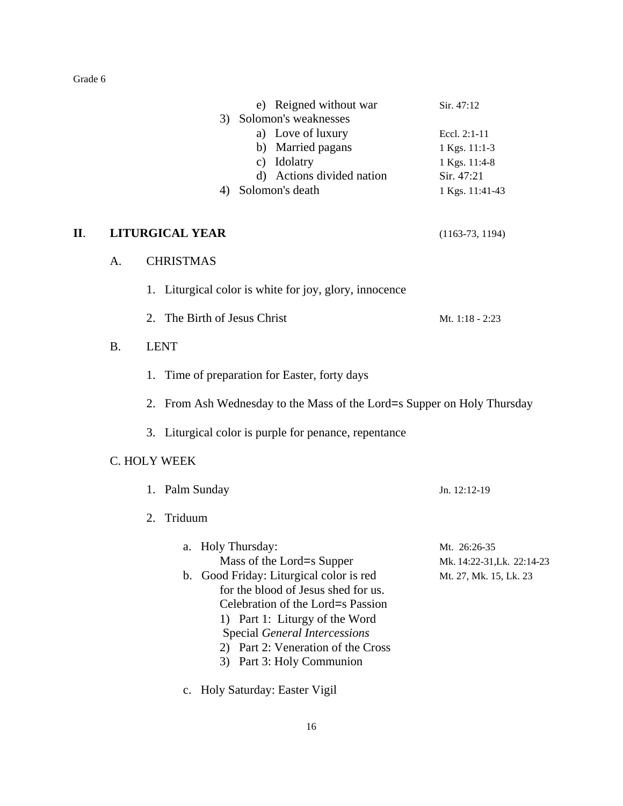|     |           | e) Reigned without war<br>3) Solomon's weaknesses<br>a) Love of luxury<br>b) Married pagans<br>c) Idolatry<br>d) Actions divided nation<br>4) Solomon's death                                                                                   | Sir. 47:12<br>Eccl. 2:1-11<br>1 Kgs. 11:1-3<br>1 Kgs. 11:4-8<br>Sir. 47:21<br>1 Kgs. 11:41-43 |
|-----|-----------|-------------------------------------------------------------------------------------------------------------------------------------------------------------------------------------------------------------------------------------------------|-----------------------------------------------------------------------------------------------|
| II. |           | LITURGICAL YEAR                                                                                                                                                                                                                                 | $(1163-73, 1194)$                                                                             |
|     | A.        | <b>CHRISTMAS</b>                                                                                                                                                                                                                                |                                                                                               |
|     |           | 1. Liturgical color is white for joy, glory, innocence                                                                                                                                                                                          |                                                                                               |
|     |           | 2. The Birth of Jesus Christ                                                                                                                                                                                                                    | Mt. 1:18 - 2:23                                                                               |
|     | <b>B.</b> | <b>LENT</b>                                                                                                                                                                                                                                     |                                                                                               |
|     |           | 1. Time of preparation for Easter, forty days                                                                                                                                                                                                   |                                                                                               |
|     |           | 2. From Ash Wednesday to the Mass of the Lord=s Supper on Holy Thursday                                                                                                                                                                         |                                                                                               |
|     |           | 3. Liturgical color is purple for penance, repentance                                                                                                                                                                                           |                                                                                               |
|     |           | C. HOLY WEEK                                                                                                                                                                                                                                    |                                                                                               |
|     |           | 1. Palm Sunday                                                                                                                                                                                                                                  | Jn. 12:12-19                                                                                  |
|     |           | Triduum<br>2.                                                                                                                                                                                                                                   |                                                                                               |
|     |           | a. Holy Thursday:<br>Mass of the Lord=s Supper<br>b. Good Friday: Liturgical color is red<br>for the blood of Jesus shed for us.<br>Celebration of the Lord=s Passion<br>1) Part 1: Liturgy of the Word<br><b>Special General Intercessions</b> | Mt. 26:26-35<br>Mk. 14:22-31, Lk. 22:14-23<br>Mt. 27, Mk. 15, Lk. 23                          |

- 2) Part 2: Veneration of the Cross
- 3) Part 3: Holy Communion
- c. Holy Saturday: Easter Vigil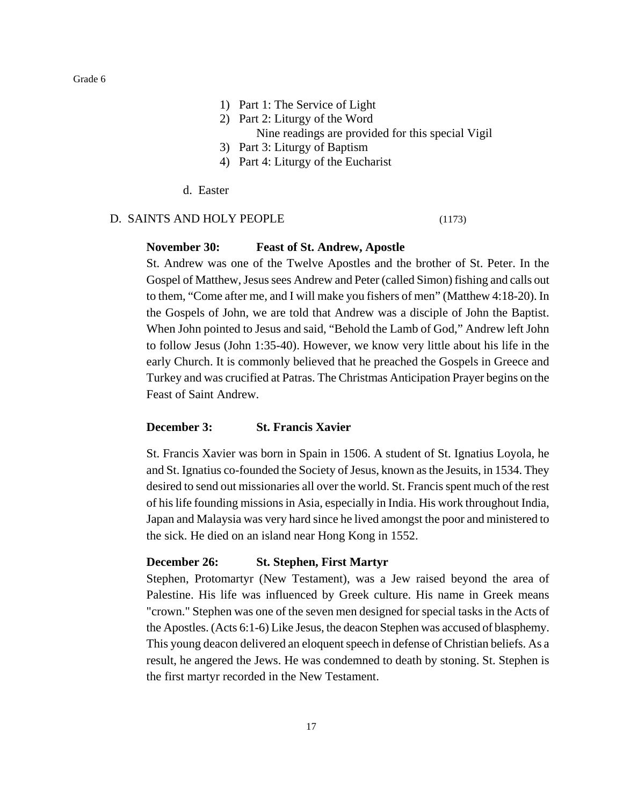- 1) Part 1: The Service of Light
- 2) Part 2: Liturgy of the Word
	- Nine readings are provided for this special Vigil
- 3) Part 3: Liturgy of Baptism
- 4) Part 4: Liturgy of the Eucharist
- d. Easter

#### D. SAINTS AND HOLY PEOPLE (1173)

#### **November 30: Feast of St. Andrew, Apostle**

St. Andrew was one of the Twelve Apostles and the brother of St. Peter. In the Gospel of Matthew, Jesus sees Andrew and Peter (called Simon) fishing and calls out to them, "Come after me, and I will make you fishers of men" (Matthew 4:18-20). In the Gospels of John, we are told that Andrew was a disciple of John the Baptist. When John pointed to Jesus and said, "Behold the Lamb of God," Andrew left John to follow Jesus (John 1:35-40). However, we know very little about his life in the early Church. It is commonly believed that he preached the Gospels in Greece and Turkey and was crucified at Patras. The Christmas Anticipation Prayer begins on the Feast of Saint Andrew.

#### **December 3: St. Francis Xavier**

St. Francis Xavier was born in Spain in 1506. A student of St. Ignatius Loyola, he and St. Ignatius co-founded the Society of Jesus, known as the Jesuits, in 1534. They desired to send out missionaries all over the world. St. Francis spent much of the rest of his life founding missions in Asia, especially in India. His work throughout India, Japan and Malaysia was very hard since he lived amongst the poor and ministered to the sick. He died on an island near Hong Kong in 1552.

#### **December 26: St. Stephen, First Martyr**

Stephen, Protomartyr (New Testament), was a Jew raised beyond the area of Palestine. His life was influenced by Greek culture. His name in Greek means "crown." Stephen was one of the seven men designed for special tasks in the Acts of the Apostles. (Acts 6:1-6) Like Jesus, the deacon Stephen was accused of blasphemy. This young deacon delivered an eloquent speech in defense of Christian beliefs. As a result, he angered the Jews. He was condemned to death by stoning. St. Stephen is the first martyr recorded in the New Testament.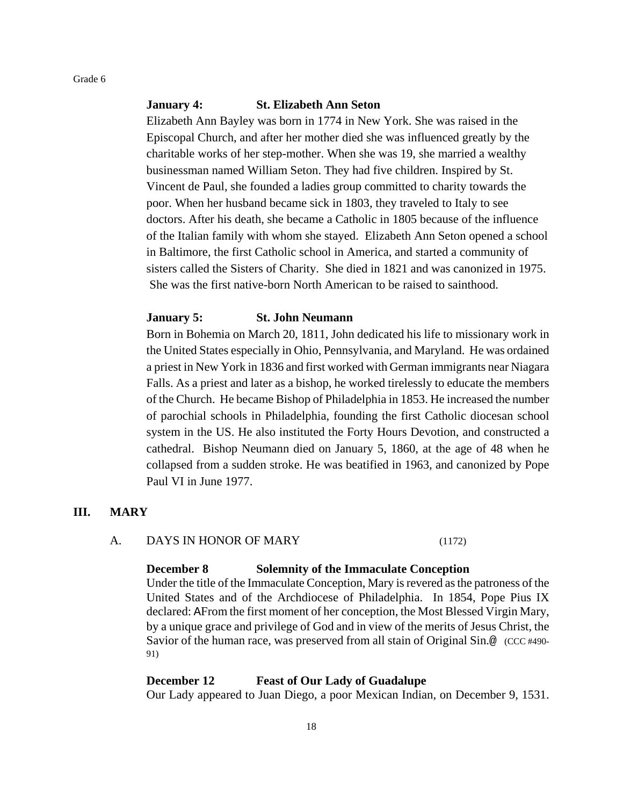#### **January 4: St. Elizabeth Ann Seton**

Elizabeth Ann Bayley was born in 1774 in New York. She was raised in the Episcopal Church, and after her mother died she was influenced greatly by the charitable works of her step-mother. When she was 19, she married a wealthy businessman named William Seton. They had five children. Inspired by St. Vincent de Paul, she founded a ladies group committed to charity towards the poor. When her husband became sick in 1803, they traveled to Italy to see doctors. After his death, she became a Catholic in 1805 because of the influence of the Italian family with whom she stayed. Elizabeth Ann Seton opened a school in Baltimore, the first Catholic school in America, and started a community of sisters called the Sisters of Charity. She died in 1821 and was canonized in 1975. She was the first native-born North American to be raised to sainthood.

#### **January 5: St. John Neumann**

Born in Bohemia on March 20, 1811, John dedicated his life to missionary work in the United States especially in Ohio, Pennsylvania, and Maryland. He was ordained a priest in New York in 1836 and first worked with German immigrants near Niagara Falls. As a priest and later as a bishop, he worked tirelessly to educate the members of the Church. He became Bishop of Philadelphia in 1853. He increased the number of parochial schools in Philadelphia, founding the first Catholic diocesan school system in the US. He also instituted the Forty Hours Devotion, and constructed a cathedral. Bishop Neumann died on January 5, 1860, at the age of 48 when he collapsed from a sudden stroke. He was beatified in 1963, and canonized by Pope Paul VI in June 1977.

#### **III. MARY**

#### A. DAYS IN HONOR OF MARY (1172)

#### **December 8 Solemnity of the Immaculate Conception**

Under the title of the Immaculate Conception, Mary is revered as the patroness of the United States and of the Archdiocese of Philadelphia. In 1854, Pope Pius IX declared: AFrom the first moment of her conception, the Most Blessed Virgin Mary, by a unique grace and privilege of God and in view of the merits of Jesus Christ, the Savior of the human race, was preserved from all stain of Original Sin.@ (CCC #490- 91)

#### **December 12 Feast of Our Lady of Guadalupe**

Our Lady appeared to Juan Diego, a poor Mexican Indian, on December 9, 1531.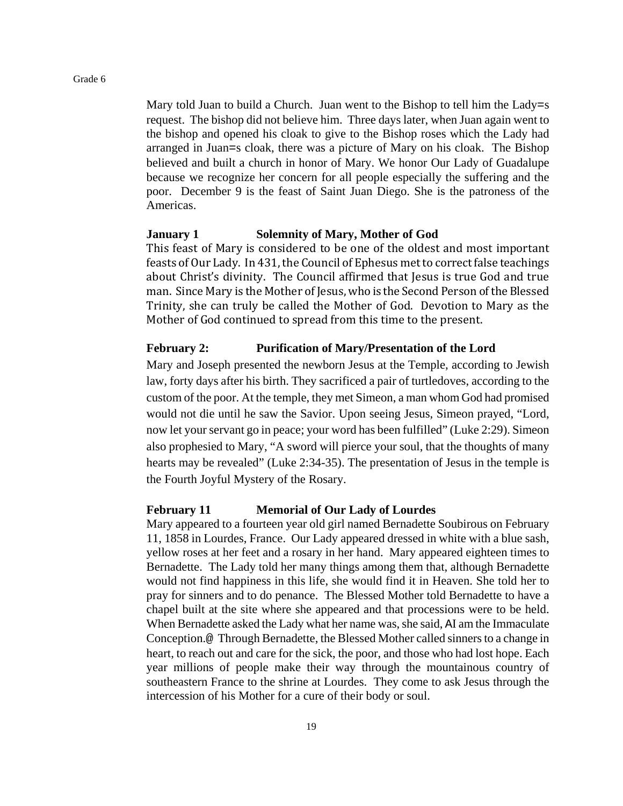Mary told Juan to build a Church. Juan went to the Bishop to tell him the Lady=s request. The bishop did not believe him. Three days later, when Juan again went to the bishop and opened his cloak to give to the Bishop roses which the Lady had arranged in Juan=s cloak, there was a picture of Mary on his cloak. The Bishop believed and built a church in honor of Mary. We honor Our Lady of Guadalupe because we recognize her concern for all people especially the suffering and the poor. December 9 is the feast of Saint Juan Diego. She is the patroness of the Americas.

#### **January 1 Solemnity of Mary, Mother of God**

This feast of Mary is considered to be one of the oldest and most important feasts of Our Lady. In 431, the Council of Ephesus met to correct false teachings about Christ's divinity. The Council affirmed that Jesus is true God and true man. Since Mary is the Mother of Jesus, who is the Second Person of the Blessed Trinity, she can truly be called the Mother of God. Devotion to Mary as the Mother of God continued to spread from this time to the present.

#### **February 2: Purification of Mary/Presentation of the Lord**

Mary and Joseph presented the newborn Jesus at the Temple, according to Jewish law, forty days after his birth. They sacrificed a pair of turtledoves, according to the custom of the poor. At the temple, they met Simeon, a man whom God had promised would not die until he saw the Savior. Upon seeing Jesus, Simeon prayed, "Lord, now let your servant go in peace; your word has been fulfilled" (Luke 2:29). Simeon also prophesied to Mary, "A sword will pierce your soul, that the thoughts of many hearts may be revealed" (Luke 2:34-35). The presentation of Jesus in the temple is the Fourth Joyful Mystery of the Rosary.

#### **February 11 Memorial of Our Lady of Lourdes**

Mary appeared to a fourteen year old girl named Bernadette Soubirous on February 11, 1858 in Lourdes, France. Our Lady appeared dressed in white with a blue sash, yellow roses at her feet and a rosary in her hand. Mary appeared eighteen times to Bernadette. The Lady told her many things among them that, although Bernadette would not find happiness in this life, she would find it in Heaven. She told her to pray for sinners and to do penance. The Blessed Mother told Bernadette to have a chapel built at the site where she appeared and that processions were to be held. When Bernadette asked the Lady what her name was, she said, AI am the Immaculate Conception.@ Through Bernadette, the Blessed Mother called sinners to a change in heart, to reach out and care for the sick, the poor, and those who had lost hope. Each year millions of people make their way through the mountainous country of southeastern France to the shrine at Lourdes. They come to ask Jesus through the intercession of his Mother for a cure of their body or soul.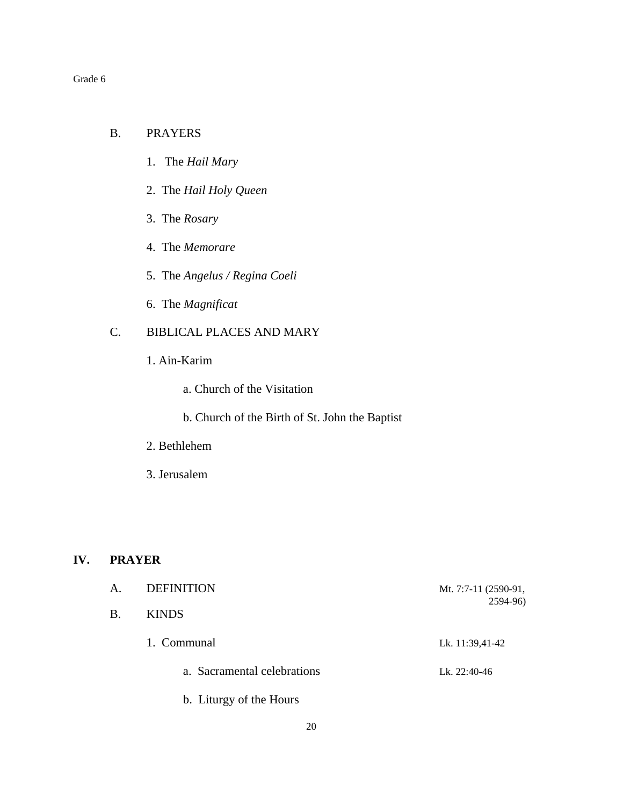#### B. PRAYERS

- 1. The *Hail Mary*
- 2. The *Hail Holy Queen*
- 3. The *Rosary*
- 4. The *Memorare*
- 5. The *Angelus / Regina Coeli*
- 6. The *Magnificat*

## C. BIBLICAL PLACES AND MARY

- 1. Ain-Karim
	- a. Church of the Visitation
	- b. Church of the Birth of St. John the Baptist
- 2. Bethlehem
- 3. Jerusalem

#### **IV. PRAYER**

| <b>DEFINITION</b>           | Mt. 7:7-11 (2590-91,<br>2594-96) |
|-----------------------------|----------------------------------|
| <b>KINDS</b>                |                                  |
| 1. Communal                 | Lk. 11:39,41-42                  |
| a. Sacramental celebrations | Lk. 22:40-46                     |
|                             |                                  |

b. Liturgy of the Hours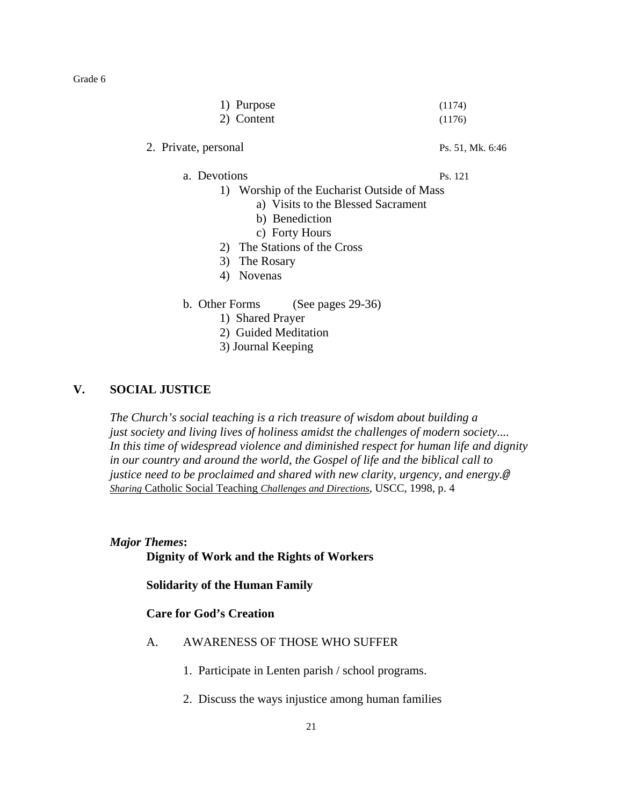| 1) Purpose | (1174) |
|------------|--------|
| 2) Content | (1176) |

#### 2. Private, personal Ps. 51, Mk. 6:46

#### a. Devotions Ps. 121

- 1) Worship of the Eucharist Outside of Mass
	- a) Visits to the Blessed Sacrament
	- b) Benediction
	- c) Forty Hours
- 2) The Stations of the Cross
- 3) The Rosary
- 4) Novenas
- b. Other Forms (See pages 29-36)
	- 1) Shared Prayer
	- 2) Guided Meditation
	- 3) Journal Keeping

### **V. SOCIAL JUSTICE**

*The Church's social teaching is a rich treasure of wisdom about building a just society and living lives of holiness amidst the challenges of modern society.... In this time of widespread violence and diminished respect for human life and dignity in our country and around the world, the Gospel of life and the biblical call to justice need to be proclaimed and shared with new clarity, urgency, and energy.@ Sharing* Catholic Social Teaching *Challenges and Directions*, USCC, 1998, p. 4

#### *Major Themes***:**

### **Dignity of Work and the Rights of Workers**

**Solidarity of the Human Family**

#### **Care for God's Creation**

- A. AWARENESS OF THOSE WHO SUFFER
	- 1. Participate in Lenten parish / school programs.
	- 2. Discuss the ways injustice among human families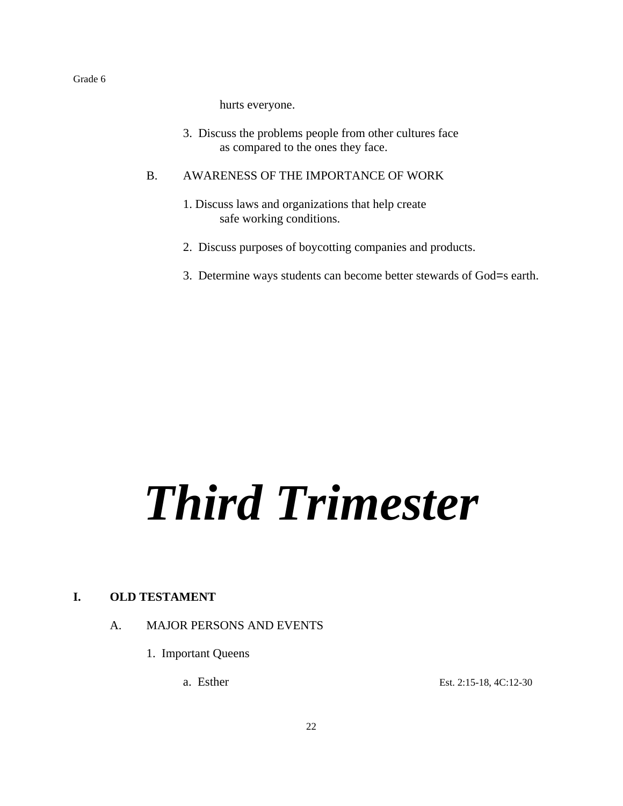hurts everyone.

3. Discuss the problems people from other cultures face as compared to the ones they face.

#### B. AWARENESS OF THE IMPORTANCE OF WORK

- 1. Discuss laws and organizations that help create safe working conditions.
- 2. Discuss purposes of boycotting companies and products.
- 3. Determine ways students can become better stewards of God=s earth.

# *Third Trimester*

#### **I. OLD TESTAMENT**

#### A. MAJOR PERSONS AND EVENTS

1. Important Queens

a. Esther Est. 2:15-18, 4C:12-30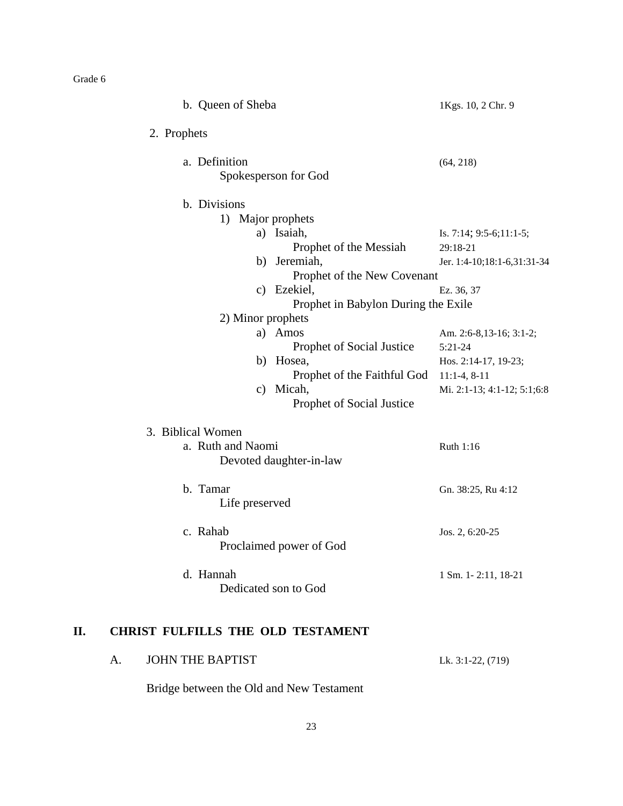**II.** 

|    | b. Queen of Sheba                            | 1Kgs. 10, 2 Chr. 9          |
|----|----------------------------------------------|-----------------------------|
|    | 2. Prophets                                  |                             |
|    | a. Definition<br>Spokesperson for God        | (64, 218)                   |
|    | b. Divisions                                 |                             |
|    | 1) Major prophets                            |                             |
|    | a) Isaiah,                                   | Is. 7:14; 9:5-6;11:1-5;     |
|    | Prophet of the Messiah                       | 29:18-21                    |
|    | b) Jeremiah,                                 | Jer. 1:4-10;18:1-6,31:31-34 |
|    | Prophet of the New Covenant                  |                             |
|    | c) Ezekiel,                                  | Ez. 36, 37                  |
|    | Prophet in Babylon During the Exile          |                             |
|    | 2) Minor prophets                            |                             |
|    | a) Amos                                      | Am. 2:6-8,13-16; 3:1-2;     |
|    | Prophet of Social Justice                    | $5:21-24$                   |
|    | b) Hosea,                                    | Hos. 2:14-17, 19-23;        |
|    | Prophet of the Faithful God                  | $11:1-4$ , $8-11$           |
|    | c) Micah,<br>Prophet of Social Justice       | Mi. 2:1-13; 4:1-12; 5:1;6:8 |
|    | 3. Biblical Women                            |                             |
|    | a. Ruth and Naomi<br>Devoted daughter-in-law | Ruth 1:16                   |
|    | b. Tamar<br>Life preserved                   | Gn. 38:25, Ru 4:12          |
|    | c. Rahab<br>Proclaimed power of God          | Jos. 2, 6:20-25             |
|    | d. Hannah<br>Dedicated son to God            | 1 Sm. 1-2:11, 18-21         |
| П. | <b>CHRIST FULFILLS THE OLD TESTAMENT</b>     |                             |
|    | <b>JOHN THE BAPTIST</b><br>A.                | Lk. 3:1-22, (719)           |

Bridge between the Old and New Testament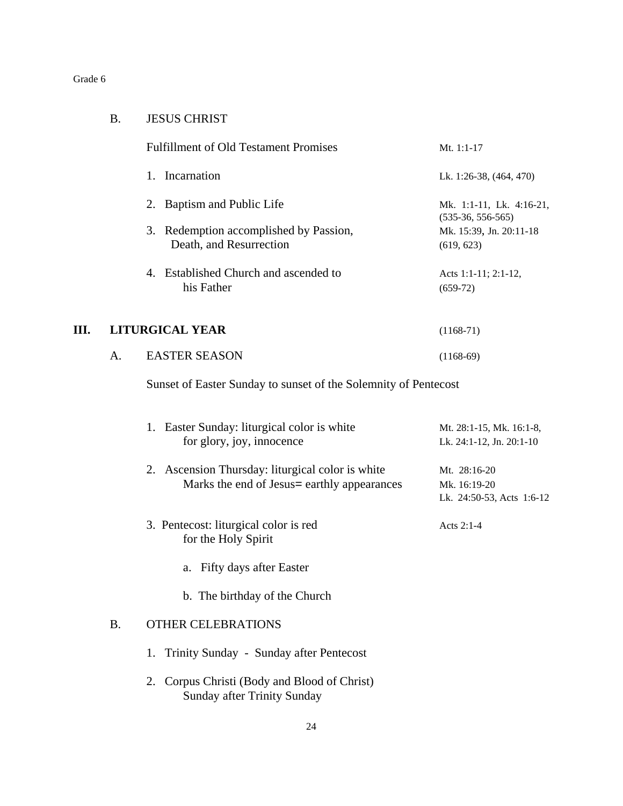| <b>B.</b> | <b>JESUS CHRIST</b> |
|-----------|---------------------|

|      |    | <b>Fulfillment of Old Testament Promises</b>                                                     | Mt. 1:1-17                                                |
|------|----|--------------------------------------------------------------------------------------------------|-----------------------------------------------------------|
|      |    | 1. Incarnation                                                                                   | Lk. 1:26-38, (464, 470)                                   |
|      |    | 2. Baptism and Public Life                                                                       | Mk. 1:1-11, Lk. 4:16-21,<br>$(535-36, 556-565)$           |
|      |    | 3. Redemption accomplished by Passion,<br>Death, and Resurrection                                | Mk. 15:39, Jn. 20:11-18<br>(619, 623)                     |
|      |    | 4. Established Church and ascended to<br>his Father                                              | Acts 1:1-11; 2:1-12,<br>$(659-72)$                        |
| III. |    | <b>LITURGICAL YEAR</b>                                                                           | $(1168-71)$                                               |
|      | A. | <b>EASTER SEASON</b>                                                                             | $(1168-69)$                                               |
|      |    | Sunset of Easter Sunday to sunset of the Solemnity of Pentecost                                  |                                                           |
|      |    | 1. Easter Sunday: liturgical color is white<br>for glory, joy, innocence                         | Mt. 28:1-15, Mk. 16:1-8,<br>Lk. 24:1-12, Jn. 20:1-10      |
|      |    | 2. Ascension Thursday: liturgical color is white<br>Marks the end of Jesus = earthly appearances | Mt. 28:16-20<br>Mk. 16:19-20<br>Lk. 24:50-53, Acts 1:6-12 |
|      |    | 3. Pentecost: liturgical color is red<br>for the Holy Spirit                                     | Acts 2:1-4                                                |
|      |    | a. Fifty days after Easter                                                                       |                                                           |
|      |    | b. The birthday of the Church                                                                    |                                                           |

## B. OTHER CELEBRATIONS

- 1. Trinity Sunday Sunday after Pentecost
- 2. Corpus Christi (Body and Blood of Christ) Sunday after Trinity Sunday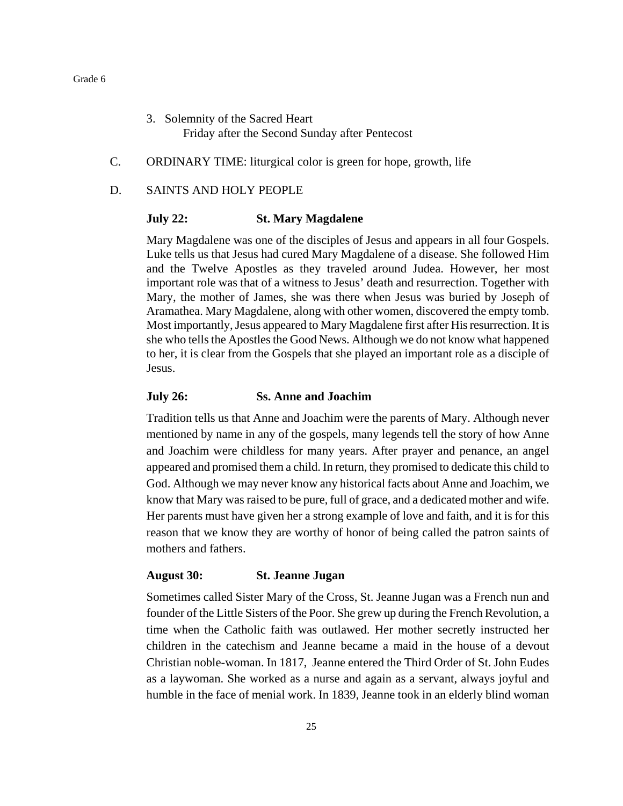- 3. Solemnity of the Sacred Heart Friday after the Second Sunday after Pentecost
- C. ORDINARY TIME: liturgical color is green for hope, growth, life
- D. SAINTS AND HOLY PEOPLE

#### **July 22: St. Mary Magdalene**

Mary Magdalene was one of the disciples of Jesus and appears in all four Gospels. Luke tells us that Jesus had cured Mary Magdalene of a disease. She followed Him and the Twelve Apostles as they traveled around Judea. However, her most important role was that of a witness to Jesus' death and resurrection. Together with Mary, the mother of James, she was there when Jesus was buried by Joseph of Aramathea. Mary Magdalene, along with other women, discovered the empty tomb. Most importantly, Jesus appeared to Mary Magdalene first after His resurrection. It is she who tells the Apostles the Good News. Although we do not know what happened to her, it is clear from the Gospels that she played an important role as a disciple of Jesus.

#### **July 26: Ss. Anne and Joachim**

Tradition tells us that Anne and Joachim were the parents of Mary. Although never mentioned by name in any of the gospels, many legends tell the story of how Anne and Joachim were childless for many years. After prayer and penance, an angel appeared and promised them a child. In return, they promised to dedicate this child to God. Although we may never know any historical facts about Anne and Joachim, we know that Mary was raised to be pure, full of grace, and a dedicated mother and wife. Her parents must have given her a strong example of love and faith, and it is for this reason that we know they are worthy of honor of being called the patron saints of mothers and fathers.

#### **August 30: St. Jeanne Jugan**

Sometimes called Sister Mary of the Cross, St. Jeanne Jugan was a French nun and founder of the Little Sisters of the Poor. She grew up during the French Revolution, a time when the Catholic faith was outlawed. Her mother secretly instructed her children in the catechism and Jeanne became a maid in the house of a devout Christian noble-woman. In 1817, Jeanne entered the Third Order of St. John Eudes as a laywoman. She worked as a nurse and again as a servant, always joyful and humble in the face of menial work. In 1839, Jeanne took in an elderly blind woman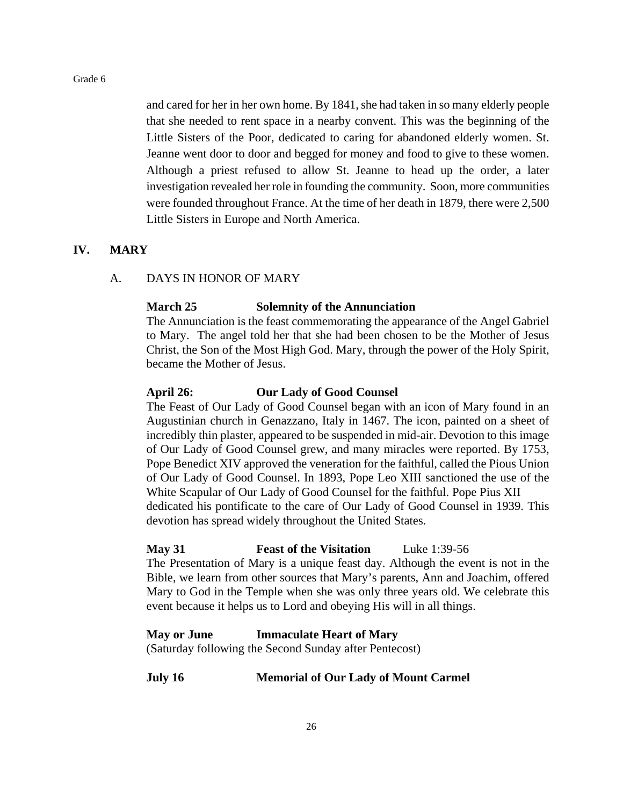and cared for her in her own home. By 1841, she had taken in so many elderly people that she needed to rent space in a nearby convent. This was the beginning of the Little Sisters of the Poor, dedicated to caring for abandoned elderly women. St. Jeanne went door to door and begged for money and food to give to these women. Although a priest refused to allow St. Jeanne to head up the order, a later investigation revealed her role in founding the community. Soon, more communities were founded throughout France. At the time of her death in 1879, there were 2,500 Little Sisters in Europe and North America.

#### **IV. MARY**

#### A. DAYS IN HONOR OF MARY

#### **March 25 Solemnity of the Annunciation**

The Annunciation is the feast commemorating the appearance of the Angel Gabriel to Mary. The angel told her that she had been chosen to be the Mother of Jesus Christ, the Son of the Most High God. Mary, through the power of the Holy Spirit, became the Mother of Jesus.

#### **April 26: Our Lady of Good Counsel**

The Feast of Our Lady of Good Counsel began with an icon of Mary found in an Augustinian church in Genazzano, Italy in 1467. The icon, painted on a sheet of incredibly thin plaster, appeared to be suspended in mid-air. Devotion to this image of Our Lady of Good Counsel grew, and many miracles were reported. By 1753, Pope Benedict XIV approved the veneration for the faithful, called the Pious Union of Our Lady of Good Counsel. In 1893, Pope Leo XIII sanctioned the use of the White Scapular of Our Lady of Good Counsel for the faithful. Pope Pius XII dedicated his pontificate to the care of Our Lady of Good Counsel in 1939. This devotion has spread widely throughout the United States.

#### **May 31 Feast of the Visitation** Luke 1:39-56

The Presentation of Mary is a unique feast day. Although the event is not in the Bible, we learn from other sources that Mary's parents, Ann and Joachim, offered Mary to God in the Temple when she was only three years old. We celebrate this event because it helps us to Lord and obeying His will in all things.

#### **May or June Immaculate Heart of Mary**

(Saturday following the Second Sunday after Pentecost)

#### **July 16 Memorial of Our Lady of Mount Carmel**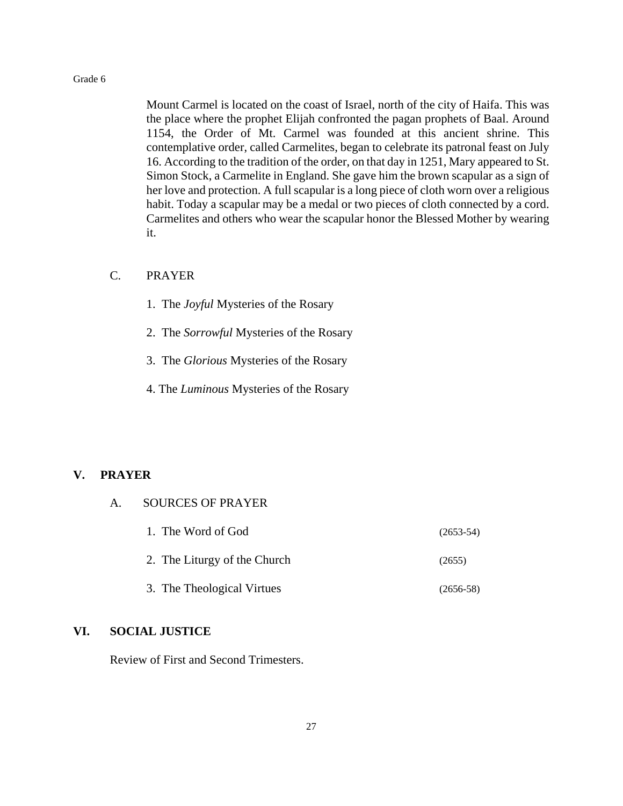Mount Carmel is located on the coast of Israel, north of the city of Haifa. This was the place where the prophet Elijah confronted the pagan prophets of Baal. Around 1154, the Order of Mt. Carmel was founded at this ancient shrine. This contemplative order, called Carmelites, began to celebrate its patronal feast on July 16. According to the tradition of the order, on that day in 1251, Mary appeared to St. Simon Stock, a Carmelite in England. She gave him the brown scapular as a sign of her love and protection. A full scapular is a long piece of cloth worn over a religious habit. Today a scapular may be a medal or two pieces of cloth connected by a cord. Carmelites and others who wear the scapular honor the Blessed Mother by wearing it.

#### C. PRAYER

- 1. The *Joyful* Mysteries of the Rosary
- 2. The *Sorrowful* Mysteries of the Rosary
- 3. The *Glorious* Mysteries of the Rosary
- 4. The *Luminous* Mysteries of the Rosary

#### **V. PRAYER**

| 1. The Word of God           | $(2653-54)$ |
|------------------------------|-------------|
| 2. The Liturgy of the Church | (2655)      |
| 3. The Theological Virtues   | $(2656-58)$ |

#### **VI. SOCIAL JUSTICE**

Review of First and Second Trimesters.

A. SOURCES OF PRAYER